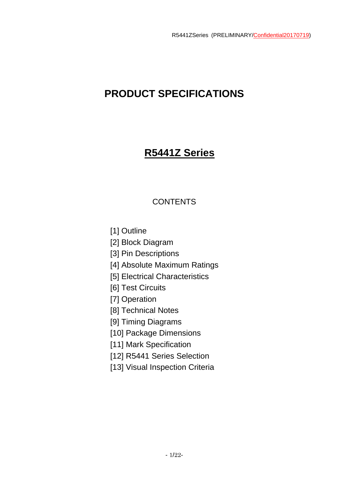# **PRODUCT SPECIFICATIONS**

# **R5441Z Series**

# **CONTENTS**

[1] Outline

[2] Block Diagram

[3] Pin Descriptions

[4] Absolute Maximum Ratings

[5] Electrical Characteristics

[6] Test Circuits

[7] Operation

[8] Technical Notes

[9] Timing Diagrams

[10] Package Dimensions

[11] Mark Specification

[12] R5441 Series Selection

[13] Visual Inspection Criteria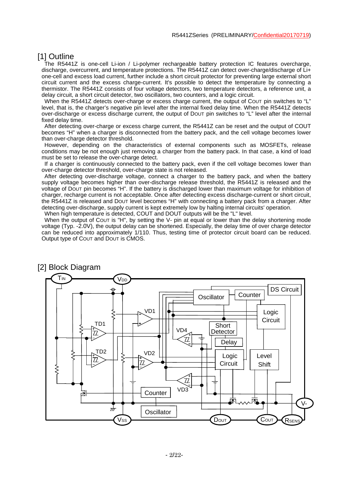# [1] Outline

The R5441Z is one-cell Li-ion / Li-polymer rechargeable battery protection IC features overcharge, discharge, overcurrent, and temperature protections. The R5441Z can detect over-charge/discharge of Li+ one-cell and excess load current, further include a short circuit protector for preventing large external short circuit current and the excess charge-current. It's possible to detect the temperature by connecting a thermistor. The R5441Z consists of four voltage detectors, two temperature detectors, a reference unit, a delay circuit, a short circuit detector, two oscillators, two counters, and a logic circuit.

When the R5441Z detects over-charge or excess charge current, the output of COUT pin switches to "L" level, that is, the charger's negative pin level after the internal fixed delay time. When the R5441Z detects over-discharge or excess discharge current, the output of DOUT pin switches to "L" level after the internal fixed delay time.

 After detecting over-charge or excess charge current, the R5441Z can be reset and the output of COUT becomes "H" when a charger is disconnected from the battery pack, and the cell voltage becomes lower than over-charge detector threshold.

 However, depending on the characteristics of external components such as MOSFETs, release conditions may be not enough just removing a charger from the battery pack. In that case, a kind of load must be set to release the over-charge detect.

 If a charger is continuously connected to the battery pack, even if the cell voltage becomes lower than over-charge detector threshold, over-charge state is not released.

 After detecting over-discharge voltage, connect a charger to the battery pack, and when the battery supply voltage becomes higher than over-discharge release threshold, the R5441Z is released and the voltage of DOUT pin becomes "H". If the battery is discharged lower than maximum voltage for inhibition of charger, recharge current is not acceptable. Once after detecting excess discharge-current or short circuit, the R5441Z is released and DOUT level becomes "H" with connecting a battery pack from a charger. After detecting over-discharge, supply current is kept extremely low by halting internal circuits' operation. When high temperature is detected, COUT and DOUT outputs will be the "L" level.

When the output of COUT is "H", by setting the V- pin at equal or lower than the delay shortening mode voltage (Typ. -2.0V), the output delay can be shortened. Especially, the delay time of over charge detector can be reduced into approximately 1/110. Thus, testing time of protector circuit board can be reduced. Output type of COUT and DOUT is CMOS.



### [2] Block Diagram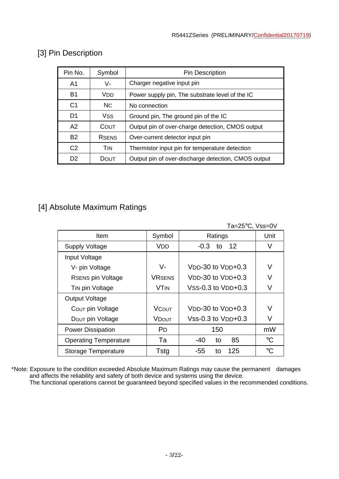| Pin No.        | Symbol         | <b>Pin Description</b>                              |  |
|----------------|----------------|-----------------------------------------------------|--|
| A <sub>1</sub> | V-             | Charger negative input pin                          |  |
| <b>B1</b>      | VDD            | Power supply pin, The substrate level of the IC     |  |
| C <sub>1</sub> | N <sub>C</sub> | No connection                                       |  |
| D <sub>1</sub> | <b>VSS</b>     | Ground pin, The ground pin of the IC                |  |
| A2             | COUT           | Output pin of over-charge detection, CMOS output    |  |
| <b>B2</b>      | <b>RSENS</b>   | Over-current detector input pin                     |  |
| C <sub>2</sub> | TIN            | Thermistor input pin for temperature detection      |  |
| D <sub>2</sub> | DOUT           | Output pin of over-discharge detection, CMOS output |  |

# [3] Pin Description

# [4] Absolute Maximum Ratings

| Ta=25°C, Vss=0V              |                       |                        |                 |  |
|------------------------------|-----------------------|------------------------|-----------------|--|
| Item                         | Symbol                | Ratings                | Unit            |  |
| <b>Supply Voltage</b>        | VDD                   | 12<br>$-0.3$<br>to     | V               |  |
| Input Voltage                |                       |                        |                 |  |
| V- pin Voltage               | V-                    | $VDD-30$ to $VDD+0.3$  | V               |  |
| <b>RSENS pin Voltage</b>     | <b>VRSENS</b>         | $VDD-30$ to $VDD+0.3$  | V               |  |
| TIN pin Voltage              | <b>VTIN</b>           | $VSS-0.3$ to $VDD+0.3$ | V               |  |
| <b>Output Voltage</b>        |                       |                        |                 |  |
| COUT pin Voltage             | <b>VCOUT</b>          | $VDD-30$ to $VDD+0.3$  | V               |  |
| Dout pin Voltage             | VDout                 | $Vss-0.3$ to $VDD+0.3$ |                 |  |
| <b>Power Dissipation</b>     | <b>P</b> <sub>D</sub> | 150                    | mW              |  |
| <b>Operating Temperature</b> | Та                    | 85<br>$-40$<br>to      | $\rm ^{\circ}C$ |  |
| Storage Temperature          | Tstg                  | 125<br>-55<br>to       | $\rm ^{\circ}C$ |  |

\*Note: Exposure to the condition exceeded Absolute Maximum Ratings may cause the permanent damages and affects the reliability and safety of both device and systems using the device.

The functional operations cannot be guaranteed beyond specified values in the recommended conditions.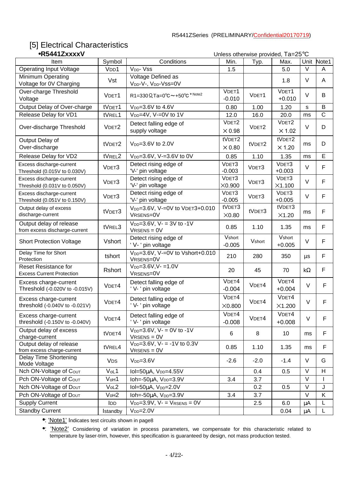# [5] Electrical Characteristics

| •R5441ZxxxxV                                                    |                               | Unless otherwise provided, Ta=25°C                                 |                                    |                   |                         |           |              |
|-----------------------------------------------------------------|-------------------------------|--------------------------------------------------------------------|------------------------------------|-------------------|-------------------------|-----------|--------------|
| Item                                                            | Symbol                        | Conditions                                                         | Min.                               | Typ.              | Max.                    | Unit      | Note1        |
| <b>Operating Input Voltage</b>                                  | V <sub>DD</sub> 1             | V <sub>DD</sub> - Vss                                              | 1.5                                |                   | 5.0                     | $\vee$    | A            |
| Minimum Operating<br>Voltage for 0V Charging                    | Vst                           | Voltage Defined as<br>V <sub>DD</sub> -V-, V <sub>DD</sub> -Vss=0V |                                    |                   | 1.8                     | $\vee$    | A            |
| Over-charge Threshold<br>Voltage                                | VDET1                         | $R1 = 330 \Omega$ , Ta=0°C ~ +50°C * Note2                         | VDET1<br>$-0.010$                  | VDET1             | VDET1<br>$+0.010$       | $\vee$    | B            |
| Output Delay of Over-charge                                     | tVDET1                        | V <sub>DD</sub> =3.6V to 4.6V                                      | 0.80                               | 1.00              | 1.20                    | s         | B            |
| Release Delay for VD1                                           | tVREL1                        | V <sub>DD</sub> =4V, V-=0V to 1V                                   | 12.0                               | 16.0              | 20.0                    | ms        | $\mathsf{C}$ |
| Over-discharge Threshold                                        | VDET <sub>2</sub>             | Detect falling edge of<br>supply voltage                           | VDET <sub>2</sub><br>$\times 0.98$ | VDET <sub>2</sub> | VDET2<br>$\times$ 1.02  | $\vee$    | D            |
| Output Delay of<br>Over-discharge                               | tVDET2                        | $V_{DD} = 3.6V$ to 2.0V                                            | tVDET2<br>$\times 0.80$            | tVDET2            | tVDET2<br>$\times$ 1.20 | ms        | D            |
| Release Delay for VD2                                           | tVREL2                        | V <sub>DD</sub> =3.6V, V-=3.6V to 0V                               | 0.85                               | 1.10              | 1.35                    | ms        | E            |
| Excess discharge-current<br>Threshold (0.015V to 0.030V)        | VDET3                         | Detect rising edge of<br>'V-' pin voltage                          | VDET3<br>$-0.003$                  | VDET3             | VDET3<br>$+0.003$       | $\vee$    | $\mathsf{F}$ |
| Excess discharge-current<br>Threshold (0.031V to 0.050V)        | VDET3                         | Detect rising edge of<br>'V-' pin voltage                          | VDET3<br>X0.900                    | VDET3             | VDET3<br>X1.100         | $\vee$    | $\mathsf{F}$ |
| Excess discharge-current<br>Threshold (0.051V to 0.150V)        | VDET3                         | Detect rising edge of<br>'V-' pin voltage                          | VDET3<br>$-0.005$                  | VDET3             | VDET3<br>$+0.005$       | $\vee$    | $\mathsf{F}$ |
| Output delay of excess<br>discharge-current                     | tVDET3                        | V <sub>DD</sub> =3.6V, V-=0V to VDET3+0.010<br>VRSENS=0V           | tVDET3<br>X0.80                    | tVDET3            | tVDET3<br>X1.20         | ms        | $\mathsf{F}$ |
| Output delay of release<br>from excess discharge-current        | tVREL3                        | $V_{DD} = 3.6V$ , V- = 3V to -1V<br>$V$ RSENS = $0V$               | 0.85                               | 1.10              | 1.35                    | ms        | F            |
| <b>Short Protection Voltage</b>                                 | Vshort                        | Detect rising edge of<br>' V- ' pin voltage                        | Vshort<br>$-0.005$                 | Vshort            | Vshort<br>$+0.005$      | $\vee$    | F            |
| Delay Time for Short<br>Protection                              | tshort                        | V <sub>DD</sub> =3.6V, V-=0V to Vshort+0.010<br>VRSENS=0V          | 210                                | 280               | 350                     | μs        | $\mathsf F$  |
| <b>Reset Resistance for</b><br><b>Excess Current Protection</b> | Rshort                        | $V_{DD} = 3.6 V, V - 1.0 V$<br>VRSENS=0V                           | 20                                 | 45                | 70                      | $k\Omega$ | F            |
| Excess charge-current<br>Threshold (-0.020V to -0.015V)         | VDET4                         | Detect falling edge of<br>'V-' pin voltage                         | VDET4<br>$-0.004$                  | VDET4             | VDET4<br>$+0.004$       | $\vee$    | F            |
| Excess charge-current<br>threshold (-0.040V to -0.021V)         | VDET4                         | Detect falling edge of<br>'V-' pin voltage                         | VDET4<br>$\times0.800$             | VDET4             | VDET4<br>X1.200         | $\vee$    | F            |
| Excess charge-current<br>threshold (-0.150V to -0.040V)         | VDET4                         | Detect falling edge of<br>'V-' pin voltage                         | VDET4<br>$-0.008$                  | VDET4             | VDET4<br>$+0.008$       | $\vee$    | F            |
| Output delay of excess<br>charge-current                        | tVDET4                        | $V_{DD} = 3.6V$ , V- = 0V to -1V<br>$V$ RSENS = $0V$               | $\,6$                              | 8                 | 10                      | ms        | $\mathsf F$  |
| Output delay of release<br>from excess charge-current           | tVREL4                        | $V_{DD} = 3.6V$ , V- = -1V to 0.3V<br>$V$ RSENS = $0V$             | 0.85                               | 1.10              | 1.35                    | ms        | F            |
| Delay Time Shortening<br>Mode Voltage                           | <b>VDS</b>                    | $V_{DD} = 3.6V$                                                    | $-2.6$                             | $-2.0$            | $-1.4$                  | $\vee$    | G            |
| Nch ON-Voltage of COUT                                          | VoL1                          | $IoI = 50\mu A$ , $V_{DD} = 4.55V$                                 |                                    | 0.4               | 0.5                     | $\vee$    | H            |
| Pch ON-Voltage of COUT                                          | V <sub>oH</sub> 1             | Ioh =- 50µA, V <sub>DD</sub> =3.9V                                 | 3.4                                | 3.7               |                         | $\vee$    |              |
| Nch ON-Voltage of DOUT                                          | Vol2                          | $IoI = 50\mu A$ , $V_{DD} = 2.0V$                                  |                                    | 0.2               | 0.5                     | $\vee$    | J            |
| Pch ON-Voltage of Dout                                          | V <sub>o</sub> H <sub>2</sub> | Ioh=-50µA, V <sub>DD</sub> =3.9V                                   | 3.4                                | 3.7               |                         | $\vee$    | K            |
| <b>Supply Current</b>                                           | <b>I</b> DD                   | $V_{DD} = 3.9V$ , $V = V$ <sub>RSENS</sub> = 0V                    |                                    | 2.5               | 6.0                     | μA        | L            |
| <b>Standby Current</b>                                          | <b>Istandby</b>               | $V_{DD} = 2.0V$                                                    |                                    |                   | 0.04                    | $\mu$ A   | L            |

•: 'Note1' Indicates test circuits shown in page8

•: 'Note2' Considering of variation in process parameters, we compensate for this characteristic related to temperature by laser-trim, however, this specification is guaranteed by design, not mass production tested.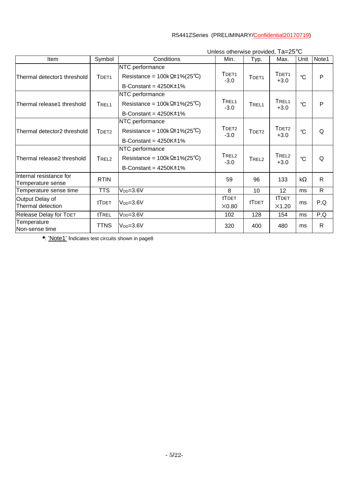| Item                                         | Symbol            | Conditions                                                                                        | Min.                        | Typ.              | Max.                        | Unit                 | Note1        |
|----------------------------------------------|-------------------|---------------------------------------------------------------------------------------------------|-----------------------------|-------------------|-----------------------------|----------------------|--------------|
| Thermal detector1 threshold                  | TDET <sub>1</sub> | NTC performance<br>Resistance = $100k \Omega \pm 1\% (25^{\circ}C)$<br>B-Constant = $4250K\pm1\%$ | TDET <sub>1</sub><br>$-3.0$ | TDET <sub>1</sub> | TDET <sub>1</sub><br>$+3.0$ | $^{\circ}C$          | $\mathsf{P}$ |
| Thermal release1 threshold                   | TREL <sub>1</sub> | NTC performance<br>Resistance = $100k \Omega t 1\% (25°C)$<br>B-Constant = $4250K±1\%$            | TREL <sub>1</sub><br>$-3.0$ | TREL <sub>1</sub> | TREL <sub>1</sub><br>$+3.0$ | $^{\circ}C$          | $\mathsf{P}$ |
| Thermal detector2 threshold                  | TDET <sub>2</sub> | NTC performance<br>Resistance = $100k \Omega \pm 1\% (25^{\circ}C)$<br>B-Constant = $4250K±1\%$   | TDET <sub>2</sub><br>$-3.0$ | TDET <sub>2</sub> | TDET <sub>2</sub><br>$+3.0$ | $^{\circ}C$          | Q            |
| Thermal release2 threshold                   | TREL <sub>2</sub> | NTC performance<br>Resistance = $100k \Omega \pm 1\% (25^{\circ}C)$<br>B-Constant = $4250K±1\%$   | TREL <sub>2</sub><br>$-3.0$ | TREL <sub>2</sub> | TREL <sub>2</sub><br>$+3.0$ | $\mathrm{C}^{\circ}$ | Q            |
| Internal resistance for<br>Temperature sense | <b>RTIN</b>       |                                                                                                   | 59                          | 96                | 133                         | $k\Omega$            | $\mathsf{R}$ |
| Temperature sense time                       | <b>TTS</b>        | $V_{DD}=3.6V$                                                                                     | 8                           | 10                | 12                          | ms                   | $\mathsf{R}$ |
| Output Delay of<br>Thermal detection         | tTDET             | $V_{DD} = 3.6V$                                                                                   | tTDET<br>X0.80              | tTDET             | tTDET<br>X1.20              | ms                   | P,Q          |
| Release Delay for TDET                       | tTREL             | $V_{DD} = 3.6V$                                                                                   | 102                         | 128               | 154                         | ms                   | P,Q          |
| Temperature<br>Non-sense time                | <b>TTNS</b>       | $V_{DD} = 3.6V$                                                                                   | 320                         | 400               | 480                         | ms                   | $\mathsf{R}$ |

Unless otherwise provided, Ta=25°C

•: 'Note1' Indicates test circuits shown in page8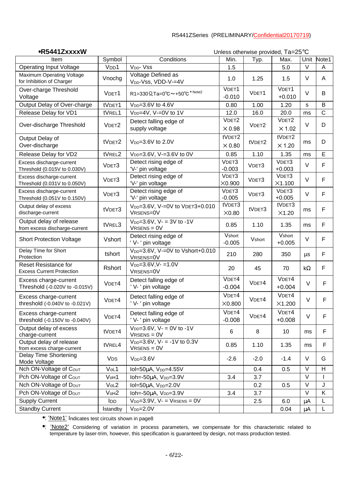•**R5441ZxxxxW** Unless otherwise provided, Ta=25°C

|                                                                 |                               |                                                           |                                    |        | omoss omorwise provided, Ta=25 |           |             |
|-----------------------------------------------------------------|-------------------------------|-----------------------------------------------------------|------------------------------------|--------|--------------------------------|-----------|-------------|
| Item                                                            | Symbol                        | Conditions                                                | Min.                               | Typ.   | Max.                           | Unit      | Note1       |
| <b>Operating Input Voltage</b>                                  | V <sub>DD</sub> 1             | V <sub>DD</sub> - V <sub>SS</sub>                         | 1.5                                |        | 5.0                            | $\vee$    | A           |
| <b>Maximum Operating Voltage</b><br>for Inhibition of Charger   | Vnochg                        | Voltage Defined as<br>V <sub>DD</sub> -Vss, VDD-V-=4V     | 1.0                                | 1.25   | 1.5                            | $\vee$    | A           |
| Over-charge Threshold<br>Voltage                                | VDET1                         | $R1 = 330 \Omega$ , Ta=0°C ~ +50°C * Note2                | VDET1<br>$-0.010$                  | VDET1  | VDET1<br>$+0.010$              | $\vee$    | B           |
| Output Delay of Over-charge                                     | tVDET1                        | V <sub>DD</sub> =3.6V to 4.6V                             | 0.80                               | 1.00   | 1.20                           | s         | B           |
| Release Delay for VD1                                           | tVREL1                        | V <sub>DD</sub> =4V, V-=0V to 1V                          | 12.0                               | 16.0   | 20.0                           | ms        | $\mathsf C$ |
| Over-discharge Threshold                                        | VDET <sub>2</sub>             | Detect falling edge of<br>supply voltage                  | VDET <sub>2</sub><br>$\times 0.98$ | VDET2  | VDET2<br>$\times$ 1.02         | $\vee$    | D           |
| Output Delay of<br>Over-discharge                               | tVDET2                        | $V_{DD} = 3.6V$ to 2.0V                                   | tVDET2<br>$\times 0.80$            | tVDET2 | tVDET2<br>$\times$ 1.20        | ms        | D           |
| Release Delay for VD2                                           | tVREL2                        | V <sub>DD</sub> =3.6V, V-=3.6V to 0V                      | 0.85                               | 1.10   | 1.35                           | ms        | E           |
| Excess discharge-current<br>Threshold (0.015V to 0.030V)        | VDET3                         | Detect rising edge of<br>'V-' pin voltage                 | VDET3<br>$-0.003$                  | VDET3  | VDET3<br>$+0.003$              | $\vee$    | F           |
| Excess discharge-current<br>Threshold (0.031V to 0.050V)        | VDET3                         | Detect rising edge of<br>'V-' pin voltage                 | VDET3<br>$\times$ 0.900            | VDET3  | VDET3<br>X1.100                | $\vee$    | F           |
| Excess discharge-current<br>Threshold (0.051V to 0.150V)        | VDET3                         | Detect rising edge of<br>'V-' pin voltage                 | VDET3<br>$-0.005$                  | VDET3  | VDET3<br>$+0.005$              | $\vee$    | F           |
| Output delay of excess<br>discharge-current                     | tVDET3                        | V <sub>DD</sub> =3.6V, V-=0V to VDET3+0.010<br>VRSENS=0V  | tVDET3<br>X0.80                    | tVDET3 | tVDET3<br>X1.20                | ms        | F           |
| Output delay of release<br>from excess discharge-current        | tVREL3                        | $V_{DD} = 3.6V$ , V- = 3V to -1V<br>$V$ RSENS = $0V$      | 0.85                               | 1.10   | 1.35                           | ms        | F           |
| <b>Short Protection Voltage</b>                                 | Vshort                        | Detect rising edge of<br>' V- ' pin voltage               | Vshort<br>$-0.005$                 | Vshort | Vshort<br>$+0.005$             | $\vee$    | F           |
| Delay Time for Short<br>Protection                              | tshort                        | V <sub>DD</sub> =3.6V, V-=0V to Vshort+0.010<br>VRSENS=0V | 210                                | 280    | 350                            | μs        | F           |
| <b>Reset Resistance for</b><br><b>Excess Current Protection</b> | Rshort                        | $V_{DD} = 3.6 V, V - 1.0 V$<br>VRSENS=0V                  | 20                                 | 45     | 70                             | $k\Omega$ | F           |
| Excess charge-current<br>Threshold (-0.020V to -0.015V)         | VDET4                         | Detect falling edge of<br>'V-' pin voltage                | V <sub>DET4</sub><br>$-0.004$      | VDET4  | VDET4<br>$+0.004$              | $\vee$    | F           |
| Excess charge-current<br>threshold (-0.040V to -0.021V)         | VDET4                         | Detect falling edge of<br>'V-' pin voltage                | VDET4<br>X0.800                    | VDET4  | V <sub>DET4</sub><br>X1.200    | $\vee$    | F           |
| Excess charge-current<br>threshold (-0.150V to -0.040V)         | VDET4                         | Detect falling edge of<br>'V-' pin voltage                | VDET4<br>$-0.008$                  | VDET4  | VDET4<br>$+0.008$              | $\vee$    | F           |
| Output delay of excess<br>charge-current                        | tVDET4                        | $V_{DD} = 3.6V$ , V- = 0V to -1V<br>$V$ RSENS = $0V$      | 6                                  | 8      | 10                             | ms        | F           |
| Output delay of release<br>from excess charge-current           | tVREL4                        | $V_{DD} = 3.6V$ , V- = -1V to 0.3V<br>$V$ RSENS = $0V$    | 0.85                               | 1.10   | 1.35                           | ms        | F           |
| Delay Time Shortening<br>Mode Voltage                           | <b>VDS</b>                    | $V_{DD} = 3.6V$                                           | $-2.6$                             | $-2.0$ | $-1.4$                         | V         | G           |
| Nch ON-Voltage of COUT                                          | VoL1                          | Iol=50μA, V <sub>DD</sub> =4.55V                          |                                    | 0.4    | 0.5                            | $\vee$    | H           |
| Pch ON-Voltage of COUT                                          | V <sub>o</sub> H <sub>1</sub> | Ioh=- $50\mu$ A, $V_{DD}=3.9V$                            | 3.4                                | 3.7    |                                | $\vee$    |             |
| Nch ON-Voltage of Dout                                          | Vol2                          | Iol=50µA, V <sub>DD</sub> =2.0V                           |                                    | 0.2    | 0.5                            | $\vee$    | J           |
| Pch ON-Voltage of D <sub>OUT</sub>                              | V <sub>o</sub> H <sub>2</sub> | Ioh =- 50µA, V <sub>DD</sub> =3.9V                        | 3.4                                | 3.7    |                                | $\vee$    | Κ           |
| <b>Supply Current</b>                                           | <b>I</b> DD                   | $V_{DD} = 3.9V$ , $V = V_{RSENS} = 0V$                    |                                    | 2.5    | 6.0                            | μA        | L           |
| <b>Standby Current</b>                                          | <b>Istandby</b>               | $V_{DD} = 2.0V$                                           |                                    |        | 0.04                           | μA        | L           |

•: 'Note1' Indicates test circuits shown in page8

•: 'Note2' Considering of variation in process parameters, we compensate for this characteristic related to temperature by laser-trim, however, this specification is guaranteed by design, not mass production tested.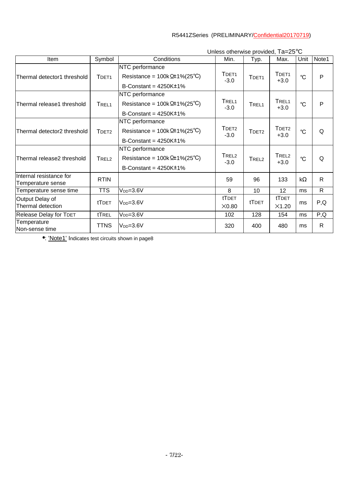| Item                                         | Symbol            | Conditions                                                                                        | Min.                        | Typ.              | Max.                        | Unit        | Note1        |
|----------------------------------------------|-------------------|---------------------------------------------------------------------------------------------------|-----------------------------|-------------------|-----------------------------|-------------|--------------|
| Thermal detector1 threshold                  | TDET <sub>1</sub> | NTC performance<br>Resistance = $100k \Omega \pm 1\% (25^{\circ}C)$<br>B-Constant = $4250K±1\%$   | TDET <sub>1</sub><br>$-3.0$ | TDET <sub>1</sub> | TDET <sub>1</sub><br>$+3.0$ | $^{\circ}C$ | $\mathsf{P}$ |
| Thermal release1 threshold                   | TREL <sub>1</sub> | NTC performance<br>Resistance = $100k \Omega \pm 1\% (25^{\circ}C)$<br>B-Constant = $4250K±1\%$   | TREL <sub>1</sub><br>$-3.0$ | TREL <sub>1</sub> | TREL <sub>1</sub><br>$+3.0$ | $^{\circ}C$ | P            |
| Thermal detector2 threshold                  | TDET <sub>2</sub> | NTC performance<br>Resistance = $100k \Omega \pm 1\% (25^{\circ}C)$<br>B-Constant = $4250K\pm1\%$ | TDET <sub>2</sub><br>$-3.0$ | TDFT <sub>2</sub> | TDET <sub>2</sub><br>$+3.0$ | $^{\circ}C$ | Q            |
| Thermal release2 threshold                   | TREL <sub>2</sub> | NTC performance<br>Resistance = $100k \Omega \pm 1\% (25^{\circ}C)$<br>B-Constant = $4250K±1\%$   | TREL <sub>2</sub><br>$-3.0$ | TREL <sub>2</sub> | TREL <sub>2</sub><br>$+3.0$ | $^{\circ}C$ | Q            |
| Internal resistance for<br>Temperature sense | <b>RTIN</b>       |                                                                                                   | 59                          | 96                | 133                         | $k\Omega$   | $\mathsf{R}$ |
| Temperature sense time                       | <b>TTS</b>        | $V_{DD} = 3.6V$                                                                                   | 8                           | 10                | 12                          | ms          | $\mathsf{R}$ |
| Output Delay of<br>Thermal detection         | tTDET             | $V_{DD} = 3.6V$                                                                                   | tTDET<br>X0.80              | tTDET             | tTDET<br>X1.20              | ms          | P,Q          |
| Release Delay for TDET                       | tTREL             | $V_{DD} = 3.6V$                                                                                   | 102                         | 128               | 154                         | ms          | P,Q          |
| Temperature<br>Non-sense time                | <b>TTNS</b>       | $V_{DD} = 3.6V$                                                                                   | 320                         | 400               | 480                         | ms          | $\mathsf{R}$ |

Unless otherwise provided, Ta=25°C

•: 'Note1' Indicates test circuits shown in page8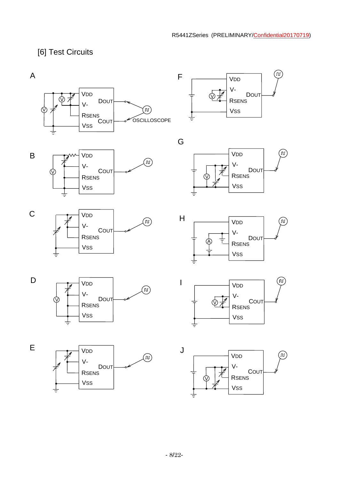`nr

ு

 $\left( \mathbb{n}\right)$ 

்ற

(ທ)

# [6] Test Circuits

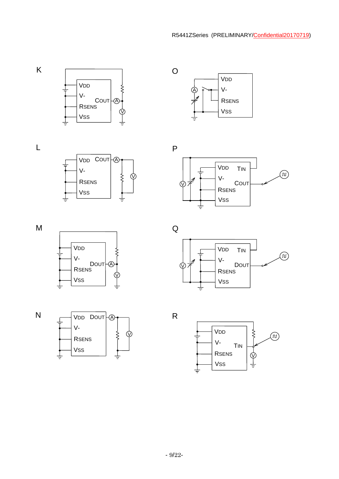

VSS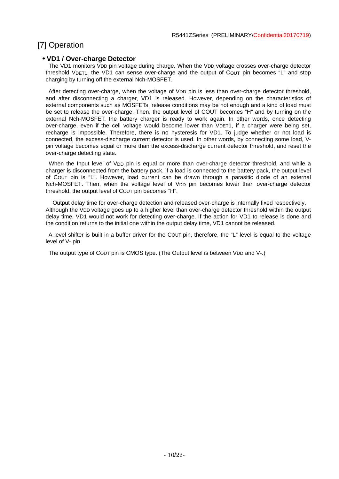# [7] Operation

#### • **VD1 / Over-charge Detector**

The VD1 monitors V<sub>DD</sub> pin voltage during charge. When the V<sub>DD</sub> voltage crosses over-charge detector threshold VDET1, the VD1 can sense over-charge and the output of COUT pin becomes "L" and stop charging by turning off the external Nch-MOSFET.

After detecting over-charge, when the voltage of VDD pin is less than over-charge detector threshold, and after disconnecting a charger, VD1 is released. However, depending on the characteristics of external components such as MOSFETs, release conditions may be not enough and a kind of load must be set to release the over-charge. Then, the output level of COUT becomes "H" and by turning on the external Nch-MOSFET, the battery charger is ready to work again. In other words, once detecting over-charge, even if the cell voltage would become lower than VDET1, if a charger were being set, recharge is impossible. Therefore, there is no hysteresis for VD1. To judge whether or not load is connected, the excess-discharge current detector is used. In other words, by connecting some load, Vpin voltage becomes equal or more than the excess-discharge current detector threshold, and reset the over-charge detecting state.

When the Input level of VDD pin is equal or more than over-charge detector threshold, and while a charger is disconnected from the battery pack, if a load is connected to the battery pack, the output level of COUT pin is "L". However, load current can be drawn through a parasitic diode of an external Nch-MOSFET. Then, when the voltage level of VDD pin becomes lower than over-charge detector threshold, the output level of COUT pin becomes "H".

 Output delay time for over-charge detection and released over-charge is internally fixed respectively. Although the VDD voltage goes up to a higher level than over-charge detector threshold within the output delay time, VD1 would not work for detecting over-charge. If the action for VD1 to release is done and the condition returns to the initial one within the output delay time, VD1 cannot be released.

 A level shifter is built in a buffer driver for the COUT pin, therefore, the "L" level is equal to the voltage level of V- pin.

The output type of COUT pin is CMOS type. (The Output level is between VDD and V-.)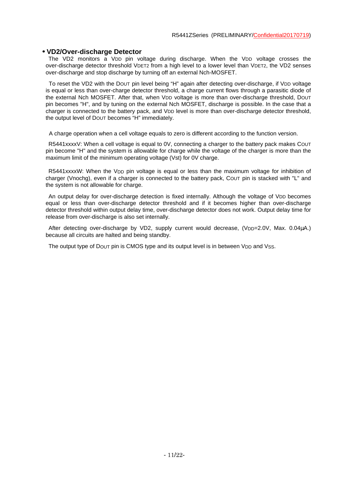#### • **VD2/Over-discharge Detector**

The VD2 monitors a VDD pin voltage during discharge. When the VDD voltage crosses the over-discharge detector threshold VDET2 from a high level to a lower level than VDET2, the VD2 senses over-discharge and stop discharge by turning off an external Nch-MOSFET.

To reset the VD2 with the Dout pin level being "H" again after detecting over-discharge, if VDD voltage is equal or less than over-charge detector threshold, a charge current flows through a parasitic diode of the external Nch MOSFET. After that, when Vpp voltage is more than over-discharge threshold, DOUT pin becomes "H", and by tuning on the external Nch MOSFET, discharge is possible. In the case that a charger is connected to the battery pack, and V<sub>DD</sub> level is more than over-discharge detector threshold, the output level of DOUT becomes "H" immediately.

A charge operation when a cell voltage equals to zero is different according to the function version.

R5441xxxxV: When a cell voltage is equal to 0V, connecting a charger to the battery pack makes COUT pin become "H" and the system is allowable for charge while the voltage of the charger is more than the maximum limit of the minimum operating voltage (Vst) for 0V charge.

R5441xxxxW: When the VDD pin voltage is equal or less than the maximum voltage for inhibition of charger (Vnochg), even if a charger is connected to the battery pack, COUT pin is stacked with "L" and the system is not allowable for charge.

An output delay for over-discharge detection is fixed internally. Although the voltage of V<sub>DD</sub> becomes equal or less than over-discharge detector threshold and if it becomes higher than over-discharge detector threshold within output delay time, over-discharge detector does not work. Output delay time for release from over-discharge is also set internally.

After detecting over-discharge by VD2, supply current would decrease, (VDD=2.0V, Max. 0.04uA.) because all circuits are halted and being standby.

The output type of DOUT pin is CMOS type and its output level is in between VDD and VSS.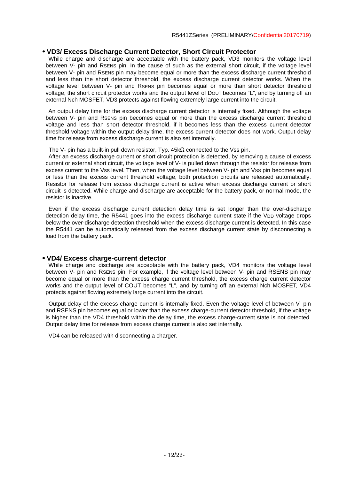#### • **VD3/ Excess Discharge Current Detector, Short Circuit Protector**

While charge and discharge are acceptable with the battery pack, VD3 monitors the voltage level between V- pin and RSENS pin. In the cause of such as the external short circuit, if the voltage level between V- pin and RSENS pin may become equal or more than the excess discharge current threshold and less than the short detector threshold, the excess discharge current detector works. When the voltage level between V- pin and RSENS pin becomes equal or more than short detector threshold voltage, the short circuit protector works and the output level of DOUT becomes "L", and by turning off an external Nch MOSFET, VD3 protects against flowing extremely large current into the circuit.

An output delay time for the excess discharge current detector is internally fixed. Although the voltage between V- pin and RSENS pin becomes equal or more than the excess discharge current threshold voltage and less than short detector threshold, if it becomes less than the excess current detector threshold voltage within the output delay time, the excess current detector does not work. Output delay time for release from excess discharge current is also set internally.

The V- pin has a built-in pull down resistor, Typ.  $45k\Omega$  connected to the Vss pin.

 After an excess discharge current or short circuit protection is detected, by removing a cause of excess current or external short circuit, the voltage level of V- is pulled down through the resistor for release from excess current to the Vss level. Then, when the voltage level between V- pin and VSS pin becomes equal or less than the excess current threshold voltage, both protection circuits are released automatically. Resistor for release from excess discharge current is active when excess discharge current or short circuit is detected. While charge and discharge are acceptable for the battery pack, or normal mode, the resistor is inactive.

 Even if the excess discharge current detection delay time is set longer than the over-discharge detection delay time, the R5441 goes into the excess discharge current state if the VDD voltage drops below the over-discharge detection threshold when the excess discharge current is detected. In this case the R5441 can be automatically released from the excess discharge current state by disconnecting a load from the battery pack.

#### • **VD4/ Excess charge-current detector**

While charge and discharge are acceptable with the battery pack, VD4 monitors the voltage level between V- pin and RSENS pin. For example, if the voltage level between V- pin and RSENS pin may become equal or more than the excess charge current threshold, the excess charge current detector works and the output level of COUT becomes "L", and by turning off an external Nch MOSFET, VD4 protects against flowing extremely large current into the circuit.

 Output delay of the excess charge current is internally fixed. Even the voltage level of between V- pin and RSENS pin becomes equal or lower than the excess charge-current detector threshold, if the voltage is higher than the VD4 threshold within the delay time, the excess charge-current state is not detected. Output delay time for release from excess charge current is also set internally.

VD4 can be released with disconnecting a charger.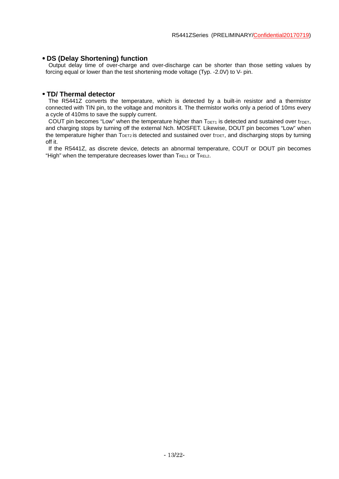#### • **DS (Delay Shortening) function**

Output delay time of over-charge and over-discharge can be shorter than those setting values by forcing equal or lower than the test shortening mode voltage (Typ. -2.0V) to V- pin.

#### • **TD/ Thermal detector**

The R5441Z converts the temperature, which is detected by a built-in resistor and a thermistor connected with TIN pin, to the voltage and monitors it. The thermistor works only a period of 10ms every a cycle of 410ms to save the supply current.

COUT pin becomes "Low" when the temperature higher than  $T_{DET1}$  is detected and sustained over t<sub>TDET</sub>, and charging stops by turning off the external Nch. MOSFET. Likewise, DOUT pin becomes "Low" when the temperature higher than  $T<sub>DET2</sub>$  is detected and sustained over  $t<sub>TDET</sub>$ , and discharging stops by turning off it.

If the R5441Z, as discrete device, detects an abnormal temperature, COUT or DOUT pin becomes "High" when the temperature decreases lower than TREL1 or TREL2.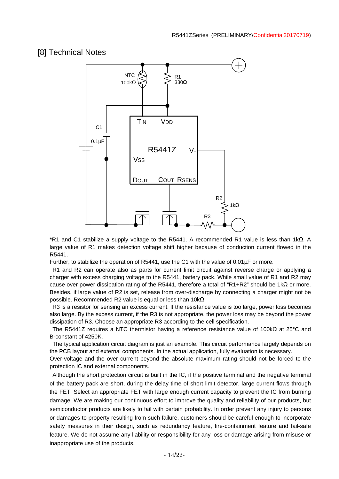### [8] Technical Notes



\*R1 and C1 stabilize a supply voltage to the R5441. A recommended R1 value is less than 1kΩ. A large value of R1 makes detection voltage shift higher because of conduction current flowed in the R5441.

Further, to stabilize the operation of R5441, use the C1 with the value of 0.01µF or more.

R1 and R2 can operate also as parts for current limit circuit against reverse charge or applying a charger with excess charging voltage to the R5441, battery pack. While small value of R1 and R2 may cause over power dissipation rating of the R5441, therefore a total of "R1+R2" should be 1kΩ or more. Besides, if large value of R2 is set, release from over-discharge by connecting a charger might not be possible. Recommended R2 value is equal or less than 10kΩ.

R3 is a resistor for sensing an excess current. If the resistance value is too large, power loss becomes also large. By the excess current, if the R3 is not appropriate, the power loss may be beyond the power dissipation of R3. Choose an appropriate R3 according to the cell specification.

The R5441Z requires a NTC thermistor having a reference resistance value of 100kΩ at 25°C and B-constant of 4250K.

The typical application circuit diagram is just an example. This circuit performance largely depends on the PCB layout and external components. In the actual application, fully evaluation is necessary.

Over-voltage and the over current beyond the absolute maximum rating should not be forced to the protection IC and external components.

Although the short protection circuit is built in the IC, if the positive terminal and the negative terminal of the battery pack are short, during the delay time of short limit detector, large current flows through the FET. Select an appropriate FET with large enough current capacity to prevent the IC from burning damage. We are making our continuous effort to improve the quality and reliability of our products, but semiconductor products are likely to fail with certain probability. In order prevent any injury to persons or damages to property resulting from such failure, customers should be careful enough to incorporate safety measures in their design, such as redundancy feature, fire-containment feature and fail-safe feature. We do not assume any liability or responsibility for any loss or damage arising from misuse or inappropriate use of the products.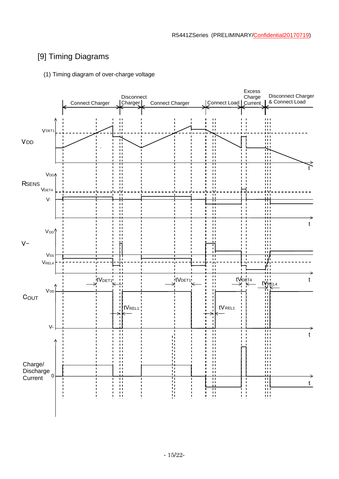# [9] Timing Diagrams

#### (1) Timing diagram of over-charge voltage

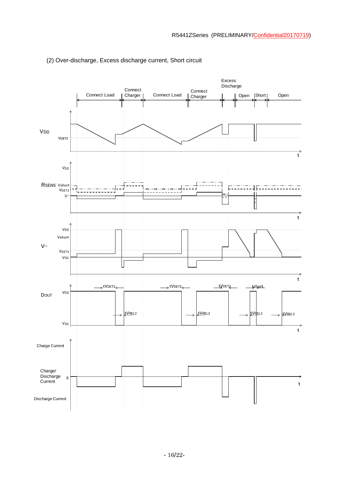

#### (2) Over-discharge, Excess discharge current, Short circuit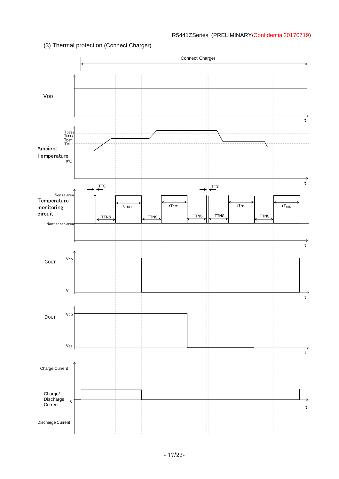#### (3) Thermal protection (Connect Charger)

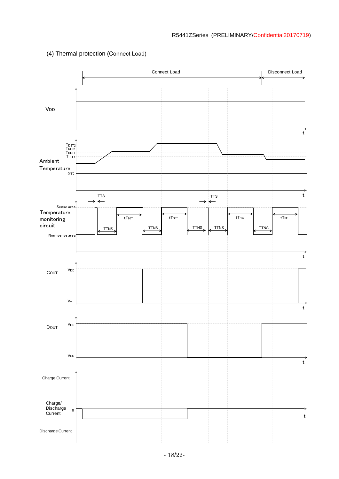

#### (4) Thermal protection (Connect Load)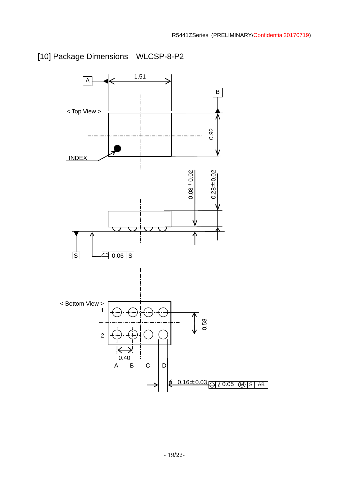

# [10] Package Dimensions WLCSP-8-P2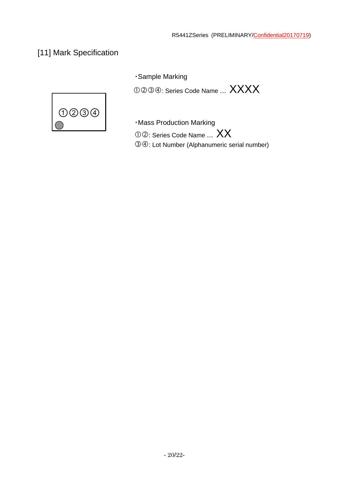# [11] Mark Specification

・Sample Marking



 $\mathbb{O} \mathbb{O} \mathbb{O} \mathbb{O} \mathbb{O}$ : Series Code Name ...  $XXX$ 

・Mass Production Marking

University of the Series Code Name ... XX : Lot Number (Alphanumeric serial number)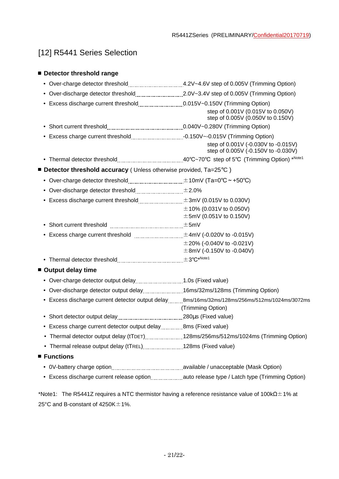# [12] R5441 Series Selection

#### ■ **Detector threshold range**

| • Over-discharge detector threshold________________________2.0V~3.4V step of 0.005V (Trimming Option) |                                                                                                                    |  |  |  |
|-------------------------------------------------------------------------------------------------------|--------------------------------------------------------------------------------------------------------------------|--|--|--|
|                                                                                                       | step of 0.001V (0.015V to 0.050V)<br>step of 0.005V (0.050V to 0.150V)                                             |  |  |  |
|                                                                                                       |                                                                                                                    |  |  |  |
|                                                                                                       | step of 0.001V (-0.030V to -0.015V)<br>step of 0.005V (-0.150V to -0.030V)                                         |  |  |  |
|                                                                                                       |                                                                                                                    |  |  |  |
| ■ Detector threshold accuracy ( Unless otherwise provided, Ta=25°C )                                  |                                                                                                                    |  |  |  |
| • Over-charge detector threshold $\ldots$ $\pm$ 10mV (Ta=0°C ~ +50°C)                                 |                                                                                                                    |  |  |  |
| • Over-discharge detector threshold $\pm 2.0\%$                                                       |                                                                                                                    |  |  |  |
|                                                                                                       | $\pm$ 10% (0.031V to 0.050V)<br>$\pm$ 5mV (0.051V to 0.150V)                                                       |  |  |  |
|                                                                                                       |                                                                                                                    |  |  |  |
| • Excess charge current threshold $\text{}$ $\pm$ 4mV (-0.020V to -0.015V)                            | $\pm$ 20% (-0.040V to -0.021V)<br>$\pm$ 8mV (-0.150V to -0.040V)                                                   |  |  |  |
|                                                                                                       |                                                                                                                    |  |  |  |
| ■ Output delay time                                                                                   |                                                                                                                    |  |  |  |
| • Over-charge detector output delay1.0s (Fixed value)                                                 |                                                                                                                    |  |  |  |
| • Over-discharge detector output delay16ms/32ms/128ms (Trimming Option)                               |                                                                                                                    |  |  |  |
|                                                                                                       | • Excess discharge current detector output delay8ms/16ms/32ms/128ms/256ms/512ms/1024ms/3072ms<br>(Trimming Option) |  |  |  |
|                                                                                                       |                                                                                                                    |  |  |  |
| • Excess charge current detector output delay 8ms (Fixed value)                                       |                                                                                                                    |  |  |  |
|                                                                                                       | Thermal detector output delay (tTDET)128ms/256ms/512ms/1024ms (Trimming Option)                                    |  |  |  |
| • Thermal release output delay (tTREL)128ms (Fixed value)                                             |                                                                                                                    |  |  |  |
| ■ Functions                                                                                           |                                                                                                                    |  |  |  |
|                                                                                                       |                                                                                                                    |  |  |  |
|                                                                                                       |                                                                                                                    |  |  |  |

\*Note1: The R5441Z requires a NTC thermistor having a reference resistance value of  $100 \text{k}\Omega \pm 1\%$  at 25 $°C$  and B-constant of 4250K $±1\%$ .